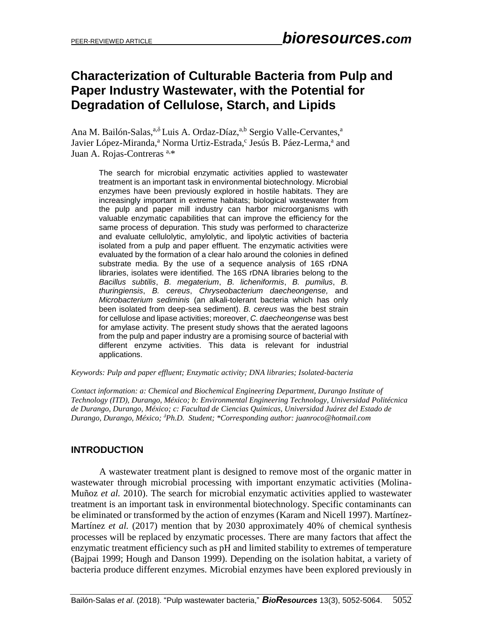# **Characterization of Culturable Bacteria from Pulp and Paper Industry Wastewater, with the Potential for Degradation of Cellulose, Starch, and Lipids**

Ana M. Bailón-Salas,<sup>a,δ</sup> Luis A. Ordaz-Díaz,<sup>a,b</sup> Sergio Valle-Cervantes,<sup>a</sup> Javier López-Miranda,<sup>a</sup> Norma Urtiz-Estrada,<sup>c</sup> Jesús B. Páez-Lerma,<sup>a</sup> and Juan A. Rojas-Contreras a,\*

The search for microbial enzymatic activities applied to wastewater treatment is an important task in environmental biotechnology. Microbial enzymes have been previously explored in hostile habitats. They are increasingly important in extreme habitats; biological wastewater from the pulp and paper mill industry can harbor microorganisms with valuable enzymatic capabilities that can improve the efficiency for the same process of depuration. This study was performed to characterize and evaluate cellulolytic, amylolytic, and lipolytic activities of bacteria isolated from a pulp and paper effluent. The enzymatic activities were evaluated by the formation of a clear halo around the colonies in defined substrate media. By the use of a sequence analysis of 16S rDNA libraries, isolates were identified. The 16S rDNA libraries belong to the *Bacillus subtilis*, *B. megaterium*, *B. licheniformis*, *B. pumilus*, *B. thuringiensis*, *B. cereus*, *Chryseobacterium daecheongense,* and *Microbacterium sediminis* (an alkali-tolerant bacteria which has only been isolated from deep-sea sediment). *B. cereus* was the best strain for cellulose and lipase activities; moreover, *C. daecheongense* was best for amylase activity. The present study shows that the aerated lagoons from the pulp and paper industry are a promising source of bacterial with different enzyme activities. This data is relevant for industrial applications.

#### *Keywords: Pulp and paper effluent; Enzymatic activity; DNA libraries; Isolated-bacteria*

*Contact information: a: Chemical and Biochemical Engineering Department, Durango Institute of Technology (ITD), Durango, México; b: Environmental Engineering Technology, Universidad Politécnica de Durango, Durango, México; c: Facultad de Ciencias Químicas, Universidad Juárez del Estado de Durango, Durango, México; <sup>δ</sup>Ph.D. Student; \*Corresponding author: [juanroco@hotmail.com](mailto:juanroco@hotmail.com)*

#### **INTRODUCTION**

A wastewater treatment plant is designed to remove most of the organic matter in wastewater through microbial processing with important enzymatic activities (Molina-Muñoz *et al.* 2010). The search for microbial enzymatic activities applied to wastewater treatment is an important task in environmental biotechnology. Specific contaminants can be eliminated or transformed by the action of enzymes (Karam and Nicell 1997). Martínez-Martínez *et al.* (2017) mention that by 2030 approximately 40% of chemical synthesis processes will be replaced by enzymatic processes. There are many factors that affect the enzymatic treatment efficiency such as pH and limited stability to extremes of temperature (Bajpai 1999; Hough and Danson 1999). Depending on the isolation habitat, a variety of bacteria produce different enzymes. Microbial enzymes have been explored previously in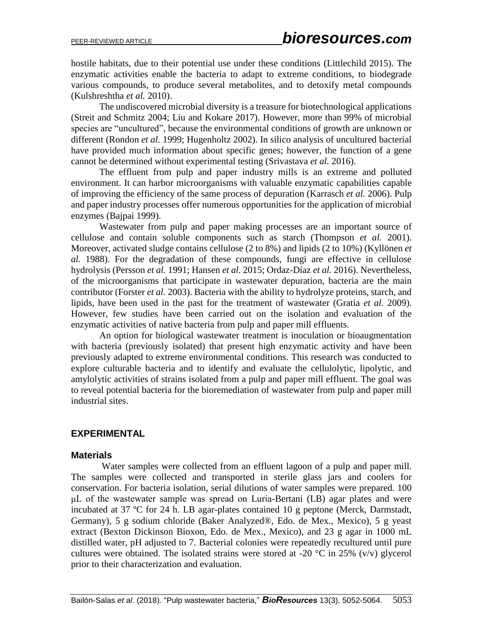hostile habitats, due to their potential use under these conditions (Littlechild 2015). The enzymatic activities enable the bacteria to adapt to extreme conditions, to biodegrade various compounds, to produce several metabolites, and to detoxify metal compounds (Kulshreshtha *et al.* 2010).

The undiscovered microbial diversity is a treasure for biotechnological applications (Streit and Schmitz 2004; Liu and Kokare 2017). However, more than 99% of microbial species are "uncultured", because the environmental conditions of growth are unknown or different (Rondon *et al.* 1999; Hugenholtz 2002). In silico analysis of uncultured bacterial have provided much information about specific genes; however, the function of a gene cannot be determined without experimental testing (Srivastava *et al.* 2016).

The effluent from pulp and paper industry mills is an extreme and polluted environment. It can harbor microorganisms with valuable enzymatic capabilities capable of improving the efficiency of the same process of depuration (Karrasch *et al.* 2006). Pulp and paper industry processes offer numerous opportunities for the application of microbial enzymes (Bajpai 1999).

Wastewater from pulp and paper making processes are an important source of cellulose and contain soluble components such as starch (Thompson *et al.* 2001). Moreover, activated sludge contains cellulose (2 to 8%) and lipids (2 to 10%) (Kyllönen *et al.* 1988). For the degradation of these compounds, fungi are effective in cellulose hydrolysis (Persson *et al.* 1991; Hansen *et al.* 2015; Ordaz-Díaz *et al.* 2016). Nevertheless, of the microorganisms that participate in wastewater depuration, bacteria are the main contributor (Forster *et al.* 2003). Bacteria with the ability to hydrolyze proteins, starch, and lipids, have been used in the past for the treatment of wastewater (Gratia *et al.* 2009). However, few studies have been carried out on the isolation and evaluation of the enzymatic activities of native bacteria from pulp and paper mill effluents.

An option for biological wastewater treatment is inoculation or bioaugmentation with bacteria (previously isolated) that present high enzymatic activity and have been previously adapted to extreme environmental conditions. This research was conducted to explore culturable bacteria and to identify and evaluate the cellulolytic, lipolytic, and amylolytic activities of strains isolated from a pulp and paper mill effluent. The goal was to reveal potential bacteria for the bioremediation of wastewater from pulp and paper mill industrial sites.

# **EXPERIMENTAL**

# **Materials**

Water samples were collected from an effluent lagoon of a pulp and paper mill. The samples were collected and transported in sterile glass jars and coolers for conservation. For bacteria isolation, serial dilutions of water samples were prepared. 100 μL of the wastewater sample was spread on Luria-Bertani (LB) agar plates and were incubated at 37 ºC for 24 h. LB agar-plates contained 10 g peptone (Merck, Darmstadt, Germany), 5 g sodium chloride (Baker Analyzed®, Edo. de Mex., Mexico), 5 g yeast extract (Bexton Dickinson Bioxon, Edo. de Mex., Mexico), and 23 g agar in 1000 mL distilled water, pH adjusted to 7. Bacterial colonies were repeatedly recultured until pure cultures were obtained. The isolated strains were stored at -20  $^{\circ}$ C in 25% (v/v) glycerol prior to their characterization and evaluation.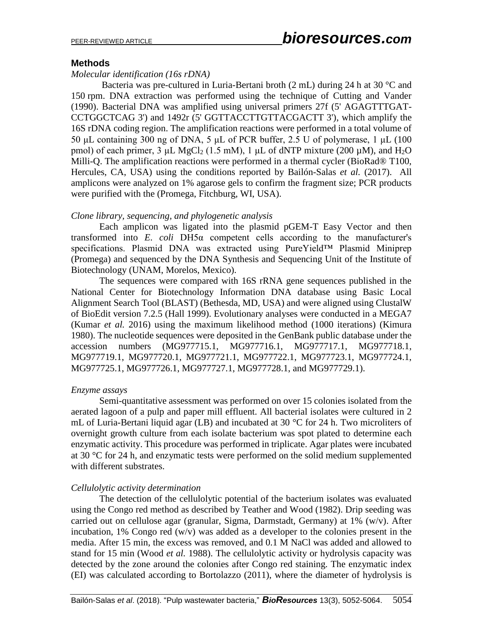#### **Methods**

#### *Molecular identification (16s rDNA)*

Bacteria was pre-cultured in Luria-Bertani broth (2 mL) during 24 h at 30 °C and 150 rpm. DNA extraction was performed using the technique of Cutting and Vander (1990). Bacterial DNA was amplified using universal primers 27f (5' AGAGTTTGAT-CCTGGCTCAG 3') and 1492r (5' GGTTACCTTGTTACGACTT 3'), which amplify the 16S rDNA coding region. The amplification reactions were performed in a total volume of 50 μL containing 300 ng of DNA, 5 μL of PCR buffer, 2.5 U of polymerase, 1 μL (100 pmol) of each primer,  $3 \mu L$  MgCl<sub>2</sub> (1.5 mM), 1  $\mu$ L of dNTP mixture (200  $\mu$ M), and H<sub>2</sub>O Milli-Q. The amplification reactions were performed in a thermal cycler (BioRad® T100, Hercules, CA, USA) using the conditions reported by Bailón-Salas *et al.* (2017). All amplicons were analyzed on 1% agarose gels to confirm the fragment size; PCR products were purified with the (Promega, Fitchburg, WI, USA).

#### *Clone library, sequencing, and phylogenetic analysis*

Each amplicon was ligated into the plasmid pGEM-T Easy Vector and then transformed into *E*. *coli* DH5α competent cells according to the manufacturer's specifications. Plasmid DNA was extracted using PureYield™ Plasmid Miniprep (Promega) and sequenced by the DNA Synthesis and Sequencing Unit of the Institute of Biotechnology (UNAM, Morelos, Mexico).

The sequences were compared with 16S rRNA gene sequences published in the National Center for Biotechnology Information DNA database using Basic Local Alignment Search Tool (BLAST) (Bethesda, MD, USA) and were aligned using ClustalW of BioEdit version 7.2.5 (Hall 1999). Evolutionary analyses were conducted in a MEGA7 (Kumar *et al.* 2016) using the maximum likelihood method (1000 iterations) (Kimura 1980). The nucleotide sequences were deposited in the GenBank public database under the accession numbers (MG977715.1, MG977716.1, MG977717.1, MG977718.1, MG977719.1, MG977720.1, MG977721.1, MG977722.1, MG977723.1, MG977724.1, MG977725.1, MG977726.1, MG977727.1, MG977728.1, and MG977729.1).

#### *Enzyme assays*

Semi-quantitative assessment was performed on over 15 colonies isolated from the aerated lagoon of a pulp and paper mill effluent. All bacterial isolates were cultured in 2 mL of Luria-Bertani liquid agar (LB) and incubated at 30 °C for 24 h. Two microliters of overnight growth culture from each isolate bacterium was spot plated to determine each enzymatic activity. This procedure was performed in triplicate. Agar plates were incubated at 30 °C for 24 h, and enzymatic tests were performed on the solid medium supplemented with different substrates.

#### *Cellulolytic activity determination*

The detection of the cellulolytic potential of the bacterium isolates was evaluated using the Congo red method as described by Teather and Wood (1982). Drip seeding was carried out on cellulose agar (granular, Sigma, Darmstadt, Germany) at 1% (w/v). After incubation, 1% Congo red (w/v) was added as a developer to the colonies present in the media. After 15 min, the excess was removed, and 0.1 M NaCl was added and allowed to stand for 15 min (Wood *et al.* 1988). The cellulolytic activity or hydrolysis capacity was detected by the zone around the colonies after Congo red staining. The enzymatic index (EI) was calculated according to Bortolazzo (2011), where the diameter of hydrolysis is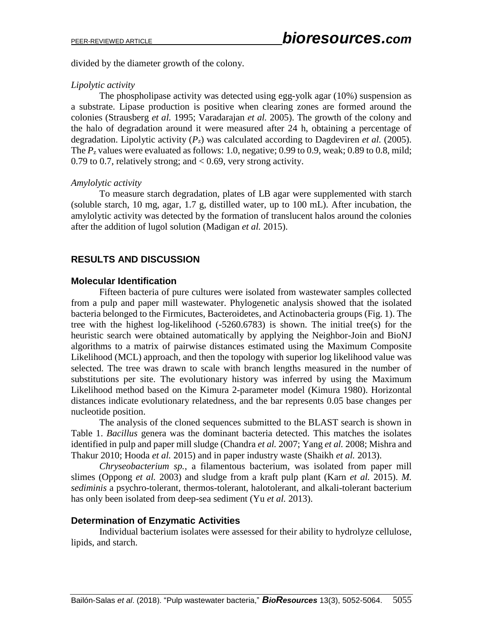divided by the diameter growth of the colony.

#### *Lipolytic activity*

The phospholipase activity was detected using egg-yolk agar  $(10\%)$  suspension as a substrate. Lipase production is positive when clearing zones are formed around the colonies (Strausberg *et al.* 1995; Varadarajan *et al.* 2005). The growth of the colony and the halo of degradation around it were measured after 24 h, obtaining a percentage of degradation. Lipolytic activity (*P*z) was calculated according to Dagdeviren *et al.* (2005). The  $P_z$  values were evaluated as follows: 1.0, negative; 0.99 to 0.9, weak; 0.89 to 0.8, mild; 0.79 to 0.7, relatively strong; and  $< 0.69$ , very strong activity.

# *Amylolytic activity*

To measure starch degradation, plates of LB agar were supplemented with starch (soluble starch, 10 mg, agar, 1.7 g, distilled water, up to 100 mL). After incubation, the amylolytic activity was detected by the formation of translucent halos around the colonies after the addition of lugol solution (Madigan *et al.* 2015).

# **RESULTS AND DISCUSSION**

# **Molecular Identification**

Fifteen bacteria of pure cultures were isolated from wastewater samples collected from a pulp and paper mill wastewater. Phylogenetic analysis showed that the isolated bacteria belonged to the Firmicutes, Bacteroidetes, and Actinobacteria groups (Fig. 1). The tree with the highest log-likelihood  $(-5260.6783)$  is shown. The initial tree(s) for the heuristic search were obtained automatically by applying the Neighbor-Join and BioNJ algorithms to a matrix of pairwise distances estimated using the Maximum Composite Likelihood (MCL) approach, and then the topology with superior log likelihood value was selected. The tree was drawn to scale with branch lengths measured in the number of substitutions per site. The evolutionary history was inferred by using the Maximum Likelihood method based on the Kimura 2-parameter model (Kimura 1980). Horizontal distances indicate evolutionary relatedness, and the bar represents 0.05 base changes per nucleotide position.

The analysis of the cloned sequences submitted to the BLAST search is shown in Table 1. *Bacillus* genera was the dominant bacteria detected. This matches the isolates identified in pulp and paper mill sludge (Chandra *et al.* 2007; Yang *et al.* 2008; Mishra and Thakur 2010; Hooda *et al.* 2015) and in paper industry waste (Shaikh *et al.* 2013).

*Chryseobacterium sp.*, a filamentous bacterium, was isolated from paper mill slimes (Oppong *et al.* 2003) and sludge from a kraft pulp plant (Karn *et al.* 2015). *M. sediminis* a psychro-tolerant, thermos-tolerant, halotolerant, and alkali-tolerant bacterium has only been isolated from deep-sea sediment (Yu *et al.* 2013).

# **Determination of Enzymatic Activities**

Individual bacterium isolates were assessed for their ability to hydrolyze cellulose, lipids, and starch.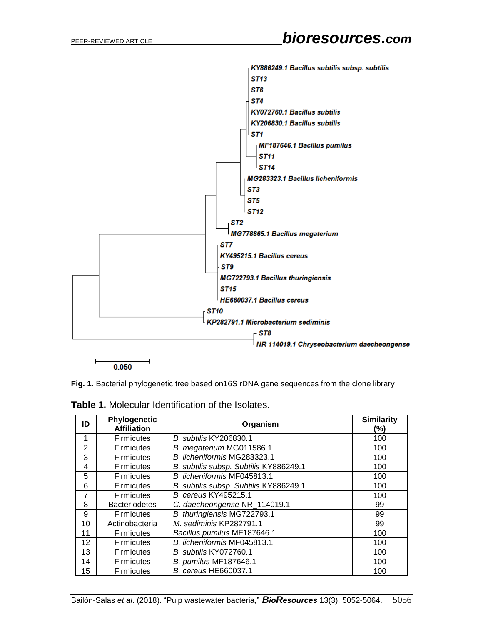

**Fig. 1.** Bacterial phylogenetic tree based on16S rDNA gene sequences from the clone library

| ID             | Phylogenetic<br><b>Affiliation</b> | Organism                               | <b>Similarity</b><br>(%) |
|----------------|------------------------------------|----------------------------------------|--------------------------|
| 1              | <b>Firmicutes</b>                  | <b>B. subtilis KY206830.1</b>          | 100                      |
| $\overline{2}$ | <b>Firmicutes</b>                  | B. megaterium MG011586.1               | 100                      |
| 3              | <b>Firmicutes</b>                  | B. licheniformis MG283323.1            | 100                      |
| 4              | <b>Firmicutes</b>                  | B. subtilis subsp. Subtilis KY886249.1 | 100                      |
| 5              | <b>Firmicutes</b>                  | B. licheniformis MF045813.1            | 100                      |
| 6              | <b>Firmicutes</b>                  | B. subtilis subsp. Subtilis KY886249.1 | 100                      |
| 7              | <b>Firmicutes</b>                  | B. cereus KY495215.1                   | 100                      |
| 8              | <b>Bacteriodetes</b>               | C. daecheongense NR_114019.1           | 99                       |
| 9              | <b>Firmicutes</b>                  | B. thuringiensis MG722793.1            | 99                       |
| 10             | Actinobacteria                     | M. sediminis KP282791.1                | 99                       |
| 11             | <b>Firmicutes</b>                  | Bacillus pumilus MF187646.1            | 100                      |
| 12             | <b>Firmicutes</b>                  | B. licheniformis MF045813.1            | 100                      |
| 13             | <b>Firmicutes</b>                  | <b>B.</b> subtilis KY072760.1          | 100                      |
| 14             | <b>Firmicutes</b>                  | B. pumilus MF187646.1                  | 100                      |
| 15             | <b>Firmicutes</b>                  | <b>B.</b> cereus HE660037.1            | 100                      |

| <b>Table 1.</b> Molecular Identification of the Isolates. |  |  |  |
|-----------------------------------------------------------|--|--|--|
|-----------------------------------------------------------|--|--|--|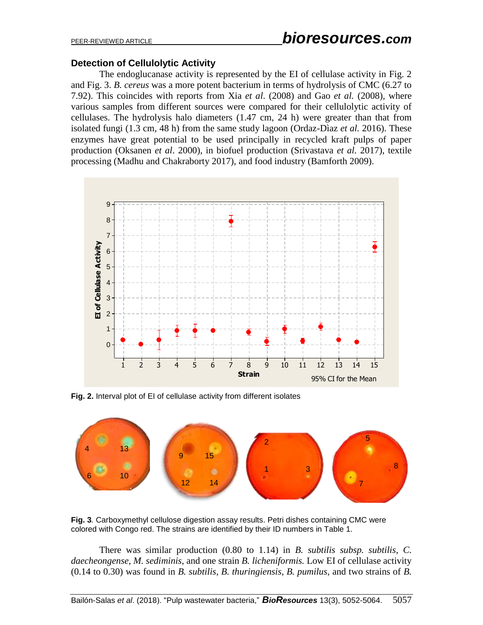#### **Detection of Cellulolytic Activity**

The endoglucanase activity is represented by the EI of cellulase activity in Fig. 2 and Fig. 3. *B. cereus* was a more potent bacterium in terms of hydrolysis of CMC (6.27 to 7.92). This coincides with reports from Xia *et al*. (2008) and Gao *et al.* (2008), where various samples from different sources were compared for their cellulolytic activity of cellulases. The hydrolysis halo diameters (1.47 cm, 24 h) were greater than that from isolated fungi (1.3 cm, 48 h) from the same study lagoon (Ordaz-Dìaz *et al.* 2016). These enzymes have great potential to be used principally in recycled kraft pulps of paper production (Oksanen *et al*. 2000), in biofuel production (Srivastava *et al.* 2017), textile processing (Madhu and Chakraborty 2017), and food industry (Bamforth 2009).



**Fig. 2.** Interval plot of EI of cellulase activity from different isolates



**Fig. 3***.* Carboxymethyl cellulose digestion assay results. Petri dishes containing CMC were colored with Congo red. The strains are identified by their ID numbers in Table 1.

There was similar production (0.80 to 1.14) in *B. subtilis subsp. subtilis*, *C. daecheongense*, *M. sediminis*, and one strain *B. licheniformis.* Low EI of cellulase activity (0.14 to 0.30) was found in *B. subtilis*, *B. thuringiensis*, *B. pumilus*, and two strains of *B.*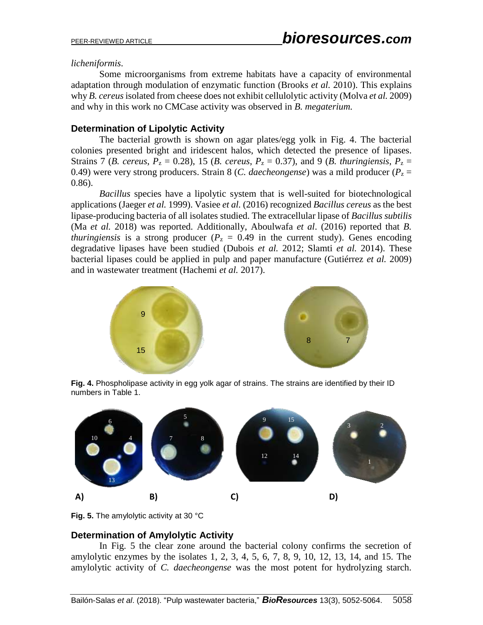#### *licheniformis*.

Some microorganisms from extreme habitats have a capacity of environmental adaptation through modulation of enzymatic function (Brooks *et al.* 2010). This explains why *B. cereus*isolated from cheese does not exhibit cellulolytic activity (Molva *et al.* 2009) and why in this work no CMCase activity was observed in *B. megaterium.*

#### **Determination of Lipolytic Activity**

The bacterial growth is shown on agar plates/egg yolk in Fig. 4. The bacterial colonies presented bright and iridescent halos, which detected the presence of lipases. Strains 7 (*B. cereus*,  $P_z = 0.28$ ), 15 (*B. cereus*,  $P_z = 0.37$ ), and 9 (*B. thuringiensis*,  $P_z = 0.28$ ) 0.49) were very strong producers. Strain 8 (*C. daecheongense*) was a mild producer ( $P<sub>z</sub>$  = 0.86).

*Bacillus* species have a lipolytic system that is well-suited for biotechnological applications (Jaeger *et al.* 1999). Vasiee *et al.* (2016) recognized *Bacillus cereus* as the best lipase-producing bacteria of all isolates studied. The extracellular lipase of *Bacillus subtilis* (Ma *et al.* 2018) was reported. Additionally, Aboulwafa *et al*. (2016) reported that *B. thuringiensis* is a strong producer ( $P_z = 0.49$  in the current study). Genes encoding degradative lipases have been studied (Dubois *et al.* 2012; Slamti *et al.* 2014). These bacterial lipases could be applied in pulp and paper manufacture (Gutiérrez *et al.* 2009) and in wastewater treatment (Hachemi *et al.* 2017).



**Fig. 4.** Phospholipase activity in egg yolk agar of strains. The strains are identified by their ID numbers in Table 1.



**Fig. 5.** The amylolytic activity at 30 °C

# **Determination of Amylolytic Activity**

In Fig. 5 the clear zone around the bacterial colony confirms the secretion of amylolytic enzymes by the isolates 1, 2, 3, 4, 5, 6, 7, 8, 9, 10, 12, 13, 14, and 15. The amylolytic activity of *C. daecheongense* was the most potent for hydrolyzing starch.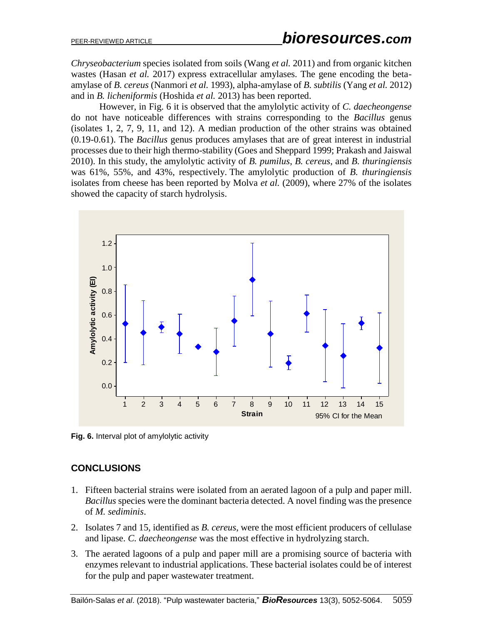*Chryseobacterium* species isolated from soils (Wang *et al.* 2011) and from organic kitchen wastes (Hasan *et al.* 2017) express extracellular amylases. The gene encoding the betaamylase of *B. cereus* (Nanmori *et al.* 1993), alpha-amylase of *B. subtilis* (Yang *et al.* 2012) and in *B. licheniformis* (Hoshida *et al.* 2013) has been reported.

However, in Fig. 6 it is observed that the amylolytic activity of *C. daecheongense* do not have noticeable differences with strains corresponding to the *Bacillus* genus (isolates 1, 2, 7, 9, 11, and 12). A median production of the other strains was obtained (0.19-0.61). The *Bacillus* genus produces amylases that are of great interest in industrial processes due to their high thermo-stability (Goes and Sheppard 1999; Prakash and Jaiswal 2010). In this study, the amylolytic activity of *B. pumilus*, *B. cereus*, and *B. thuringiensis* was 61%, 55%, and 43%, respectively. The amylolytic production of *B. thuringiensis* isolates from cheese has been reported by Molva *et al.* (2009), where 27% of the isolates showed the capacity of starch hydrolysis.



**Fig. 6.** Interval plot of amylolytic activity

# **CONCLUSIONS**

- 1. Fifteen bacterial strains were isolated from an aerated lagoon of a pulp and paper mill. *Bacillus* species were the dominant bacteria detected. A novel finding was the presence of *M. sediminis*.
- 2. Isolates 7 and 15, identified as *B. cereus*, were the most efficient producers of cellulase and lipase. *C. daecheongense* was the most effective in hydrolyzing starch.
- 3. The aerated lagoons of a pulp and paper mill are a promising source of bacteria with enzymes relevant to industrial applications. These bacterial isolates could be of interest for the pulp and paper wastewater treatment.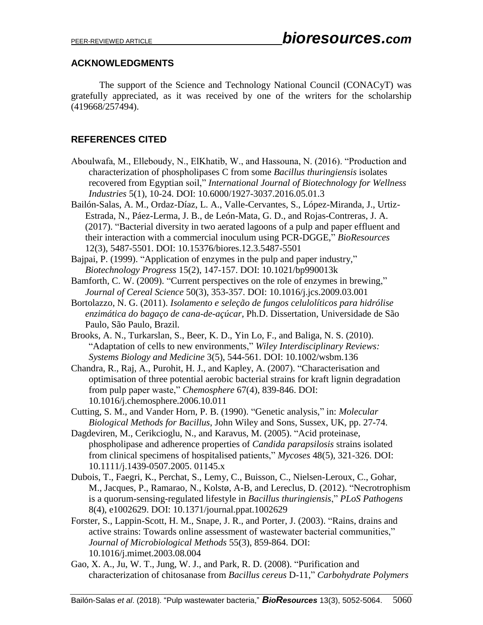# **ACKNOWLEDGMENTS**

The support of the Science and Technology National Council (CONACyT) was gratefully appreciated, as it was received by one of the writers for the scholarship (419668/257494).

# **REFERENCES CITED**

- Aboulwafa, M., Elleboudy, N., ElKhatib, W., and Hassouna, N. (2016). "Production and characterization of phospholipases C from some *Bacillus thuringiensis* isolates recovered from Egyptian soil," *International Journal of Biotechnology for Wellness Industries* 5(1), 10-24. DOI: 10.6000/1927-3037.2016.05.01.3
- Bailón-Salas, A. M., Ordaz-Díaz, L. A., Valle-Cervantes, S., López-Miranda, J., Urtiz-Estrada, N., Páez-Lerma, J. B., de León-Mata, G. D., and Rojas-Contreras, J. A. (2017). "Bacterial diversity in two aerated lagoons of a pulp and paper effluent and their interaction with a commercial inoculum using PCR-DGGE," *BioResources* 12(3), 5487-5501. DOI: 10.15376/biores.12.3.5487-5501
- Bajpai, P. (1999). "Application of enzymes in the pulp and paper industry," *Biotechnology Progress* 15(2), 147-157. DOI: 10.1021/bp990013k
- Bamforth, C. W. (2009). "Current perspectives on the role of enzymes in brewing," *Journal of Cereal Science* 50(3), 353-357. DOI: 10.1016/j.jcs.2009.03.001
- Bortolazzo, N. G. (2011). *Isolamento e seleção de fungos celulolíticos para hidrólise enzimática do bagaço de cana-de-açúcar*, Ph.D. Dissertation, Universidade de São Paulo, São Paulo, Brazil*.*
- Brooks, A. N., Turkarslan, S., Beer, K. D., Yin Lo, F., and Baliga, N. S. (2010). "Adaptation of cells to new environments," *Wiley Interdisciplinary Reviews: Systems Biology and Medicine* 3(5), 544-561. DOI: 10.1002/wsbm.136
- Chandra, R., Raj, A., Purohit, H. J., and Kapley, A. (2007). "Characterisation and optimisation of three potential aerobic bacterial strains for kraft lignin degradation from pulp paper waste," *Chemosphere* 67(4), 839-846. DOI: 10.1016/j.chemosphere.2006.10.011
- Cutting, S. M., and Vander Horn, P. B. (1990). "Genetic analysis," in: *Molecular Biological Methods for Bacillus*, John Wiley and Sons, Sussex, UK, pp. 27-74.
- Dagdeviren, M., Cerikcioglu, N., and Karavus, M. (2005). "Acid proteinase, phospholipase and adherence properties of *Candida parapsilosis* strains isolated from clinical specimens of hospitalised patients," *Mycoses* 48(5), 321-326. DOI: 10.1111/j.1439-0507.2005. 01145.x
- Dubois, T., Faegri, K., Perchat, S., Lemy, C., Buisson, C., Nielsen-Leroux, C., Gohar, M., Jacques, P., Ramarao, N., Kolstø, A-B, and Lereclus, D. (2012). "Necrotrophism is a quorum-sensing-regulated lifestyle in *Bacillus thuringiensis*," *PLoS Pathogens* 8(4), e1002629. DOI: 10.1371/journal.ppat.1002629
- Forster, S., Lappin-Scott, H. M., Snape, J. R., and Porter, J. (2003). "Rains, drains and active strains: Towards online assessment of wastewater bacterial communities," *Journal of Microbiological Methods* 55(3), 859-864. DOI: 10.1016/j.mimet.2003.08.004
- Gao, X. A., Ju, W. T., Jung, W. J., and Park, R. D. (2008). "Purification and characterization of chitosanase from *Bacillus cereus* D-11," *Carbohydrate Polymers*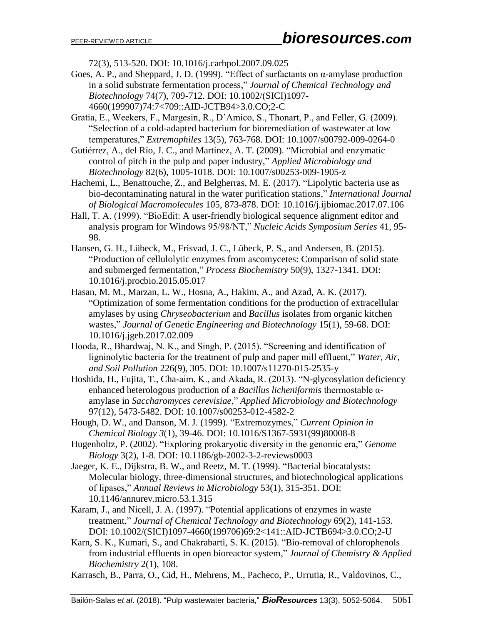72(3), 513-520. DOI: 10.1016/j.carbpol.2007.09.025

- Goes, A. P., and Sheppard, J. D. (1999). "Effect of surfactants on  $\alpha$ -amylase production in a solid substrate fermentation process," *Journal of Chemical Technology and Biotechnology* 74(7), 709-712. DOI: 10.1002/(SICI)1097- 4660(199907)74:7<709::AID-JCTB94>3.0.CO;2-C
- Gratia, E., Weekers, F., Margesin, R., D'Amico, S., Thonart, P., and Feller, G. (2009). "Selection of a cold-adapted bacterium for bioremediation of wastewater at low temperatures," *Extremophiles* 13(5), 763-768. DOI: 10.1007/s00792-009-0264-0
- Gutiérrez, A., del Río, J. C., and Martínez, A. T. (2009). "Microbial and enzymatic control of pitch in the pulp and paper industry," *Applied Microbiology and Biotechnology* 82(6), 1005-1018. DOI: 10.1007/s00253-009-1905-z
- Hachemi, L., Benattouche, Z., and Belgherras, M. E. (2017). "Lipolytic bacteria use as bio-decontaminating natural in the water purification stations," *International Journal of Biological Macromolecules* 105, 873-878. DOI: 10.1016/j.ijbiomac.2017.07.106
- Hall, T. A. (1999). "BioEdit: A user-friendly biological sequence alignment editor and analysis program for Windows 95/98/NT," *Nucleic Acids Symposium Series* 41, 95- 98.
- Hansen, G. H., Lübeck, M., Frisvad, J. C., Lübeck, P. S., and Andersen, B. (2015). "Production of cellulolytic enzymes from ascomycetes: Comparison of solid state and submerged fermentation," *Process Biochemistry* 50(9), 1327-1341. DOI: 10.1016/j.procbio.2015.05.017
- Hasan, M. M., Marzan, L. W., Hosna, A., Hakim, A., and Azad, A. K. (2017). "Optimization of some fermentation conditions for the production of extracellular amylases by using *Chryseobacterium* and *Bacillus* isolates from organic kitchen wastes," *Journal of Genetic Engineering and Biotechnology* 15(1), 59-68. DOI: 10.1016/j.jgeb.2017.02.009
- Hooda, R., Bhardwaj, N. K., and Singh, P. (2015). "Screening and identification of ligninolytic bacteria for the treatment of pulp and paper mill effluent," *Water, Air, and Soil Pollution* 226(9), 305. DOI: 10.1007/s11270-015-2535-y
- Hoshida, H., Fujita, T., Cha-aim, K., and Akada, R. (2013). "N-glycosylation deficiency enhanced heterologous production of a *Bacillus licheniformis* thermostable αamylase in *Saccharomyces cerevisiae*," *Applied Microbiology and Biotechnology* 97(12), 5473-5482. DOI: 10.1007/s00253-012-4582-2
- Hough, D. W., and Danson, M. J. (1999). "Extremozymes," *Current Opinion in Chemical Biology 3*(1), 39-46. DOI: 10.1016/S1367-5931(99)80008-8
- Hugenholtz, P. (2002). "Exploring prokaryotic diversity in the genomic era," *Genome Biology* 3(2), 1-8. DOI: 10.1186/gb-2002-3-2-reviews0003
- Jaeger, K. E., Dijkstra, B. W., and Reetz, M. T. (1999). "Bacterial biocatalysts: Molecular biology, three-dimensional structures, and biotechnological applications of lipases," *Annual Reviews in Microbiology* 53(1), 315-351. DOI: 10.1146/annurev.micro.53.1.315
- Karam, J., and Nicell, J. A. (1997). "Potential applications of enzymes in waste treatment," *Journal of Chemical Technology and Biotechnology* 69(2), 141-153. DOI: 10.1002/(SICI)1097-4660(199706)69:2<141::AID-JCTB694>3.0.CO;2-U
- Karn, S. K., Kumari, S., and Chakrabarti, S. K. (2015). "Bio-removal of chlorophenols from industrial effluents in open bioreactor system," *Journal of Chemistry & Applied Biochemistry* 2(1), 108.
- Karrasch, B., Parra, O., Cid, H., Mehrens, M., Pacheco, P., Urrutia, R., Valdovinos, C.,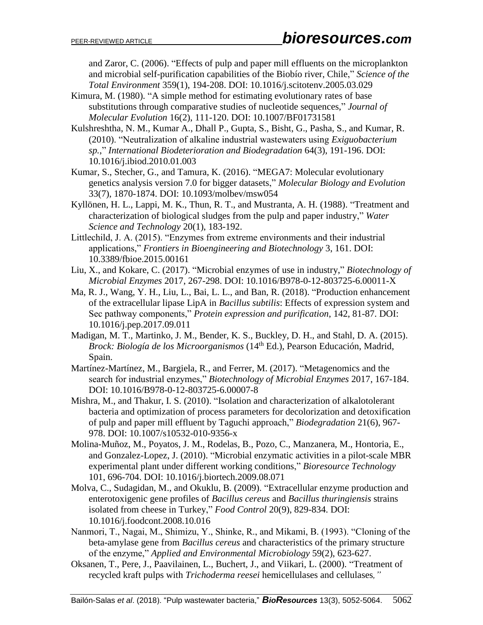and Zaror, C. (2006). "Effects of pulp and paper mill effluents on the microplankton and microbial self-purification capabilities of the Biobío river, Chile," *Science of the Total Environment* 359(1), 194-208. DOI: 10.1016/j.scitotenv.2005.03.029

- Kimura, M. (1980). "A simple method for estimating evolutionary rates of base substitutions through comparative studies of nucleotide sequences," *Journal of Molecular Evolution* 16(2), 111-120. DOI: 10.1007/BF01731581
- Kulshreshtha, N. M., Kumar A., Dhall P., Gupta, S., Bisht, G., Pasha, S., and Kumar, R. (2010). "Neutralization of alkaline industrial wastewaters using *Exiguobacterium sp.*," *International Biodeterioration and Biodegradation* 64(3), 191-196. DOI: 10.1016/j.ibiod.2010.01.003
- Kumar, S., Stecher, G., and Tamura, K. (2016). "MEGA7: Molecular evolutionary genetics analysis version 7.0 for bigger datasets," *Molecular Biology and Evolution* 33(7), 1870-1874. DOI: 10.1093/molbev/msw054
- Kyllönen, H. L., Lappi, M. K., Thun, R. T., and Mustranta, A. H. (1988). "Treatment and characterization of biological sludges from the pulp and paper industry," *Water Science and Technology* 20(1), 183-192.
- Littlechild, J. A. (2015). "Enzymes from extreme environments and their industrial applications," *Frontiers in Bioengineering and Biotechnology* 3, 161. DOI: 10.3389/fbioe.2015.00161
- Liu, X., and Kokare, C. (2017). "Microbial enzymes of use in industry," *Biotechnology of Microbial Enzymes* 2017, 267-298. DOI: 10.1016/B978-0-12-803725-6.00011-X
- Ma, R. J., Wang, Y. H., Liu, L., Bai, L. L., and Ban, R. (2018). "Production enhancement of the extracellular lipase LipA in *Bacillus subtilis*: Effects of expression system and Sec pathway components," *Protein expression and purification*, 142, 81-87. DOI: 10.1016/j.pep.2017.09.011
- Madigan, M. T., Martinko, J. M., Bender, K. S., Buckley, D. H., and Stahl, D. A. (2015). *Brock: Biología de los Microorganismos* (14th Ed.), Pearson Educación, Madrid, Spain.
- Martínez-Martínez, M., Bargiela, R., and Ferrer, M. (2017). "Metagenomics and the search for industrial enzymes," *Biotechnology of Microbial Enzymes* 2017, 167-184. DOI: 10.1016/B978-0-12-803725-6.00007-8
- Mishra, M., and Thakur, I. S. (2010). "Isolation and characterization of alkalotolerant bacteria and optimization of process parameters for decolorization and detoxification of pulp and paper mill effluent by Taguchi approach," *Biodegradation* 21(6), 967- 978. DOI: 10.1007/s10532-010-9356-x
- Molina-Muñoz, M., Poyatos, J. M., Rodelas, B., Pozo, C., Manzanera, M., Hontoria, E., and Gonzalez-Lopez, J. (2010). "Microbial enzymatic activities in a pilot-scale MBR experimental plant under different working conditions," *Bioresource Technology* 101, 696-704. DOI: 10.1016/j.biortech.2009.08.071
- Molva, C., Sudagidan, M., and Okuklu, B. (2009). "Extracellular enzyme production and enterotoxigenic gene profiles of *Bacillus cereus* and *Bacillus thuringiensis* strains isolated from cheese in Turkey," *Food Control* 20(9), 829-834. DOI: 10.1016/j.foodcont.2008.10.016
- Nanmori, T., Nagai, M., Shimizu, Y., Shinke, R., and Mikami, B. (1993). "Cloning of the beta-amylase gene from *Bacillus cereus* and characteristics of the primary structure of the enzyme," *Applied and Environmental Microbiology* 59(2), 623-627.
- Oksanen, T., Pere, J., Paavilainen, L., Buchert, J., and Viikari, L. (2000). "Treatment of recycled kraft pulps with *Trichoderma reesei* hemicellulases and cellulases*,"*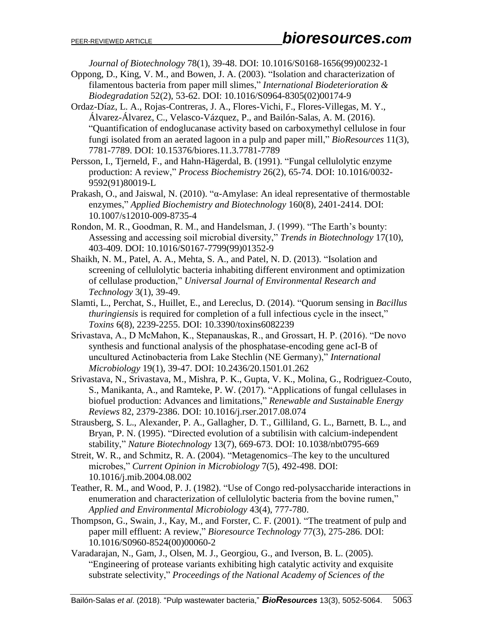*Journal of Biotechnology* 78(1), 39-48. DOI: 10.1016/S0168-1656(99)00232-1

- Oppong, D., King, V. M., and Bowen, J. A. (2003). "Isolation and characterization of filamentous bacteria from paper mill slimes," *International Biodeterioration & Biodegradation* 52(2), 53-62. DOI: 10.1016/S0964-8305(02)00174-9
- Ordaz-Díaz, L. A., Rojas-Contreras, J. A., Flores-Vichi, F., Flores-Villegas, M. Y., Álvarez-Álvarez, C., Velasco-Vázquez, P., and Bailón-Salas, A. M. (2016). "Quantification of endoglucanase activity based on carboxymethyl cellulose in four fungi isolated from an aerated lagoon in a pulp and paper mill," *BioResources* 11(3), 7781-7789. DOI: 10.15376/biores.11.3.7781-7789
- Persson, I., Tjerneld, F., and Hahn-Hägerdal, B. (1991). "Fungal cellulolytic enzyme production: A review," *Process Biochemistry* 26(2), 65-74. DOI: 10.1016/0032- 9592(91)80019-L
- Prakash, O., and Jaiswal, N. (2010). "α-Amylase: An ideal representative of thermostable enzymes," *Applied Biochemistry and Biotechnology* 160(8), 2401-2414. DOI: 10.1007/s12010-009-8735-4
- Rondon, M. R., Goodman, R. M., and Handelsman, J. (1999). "The Earth's bounty: Assessing and accessing soil microbial diversity," *Trends in Biotechnology* 17(10), 403-409. DOI: 10.1016/S0167-7799(99)01352-9
- Shaikh, N. M., Patel, A. A., Mehta, S. A., and Patel, N. D. (2013). "Isolation and screening of cellulolytic bacteria inhabiting different environment and optimization of cellulase production," *Universal Journal of Environmental Research and Technology* 3(1), 39-49.
- Slamti, L., Perchat, S., Huillet, E., and Lereclus, D. (2014). "Quorum sensing in *Bacillus thuringiensis* is required for completion of a full infectious cycle in the insect," *Toxins* 6(8), 2239-2255. DOI: 10.3390/toxins6082239
- Srivastava, A., D McMahon, K., Stepanauskas, R., and Grossart, H. P. (2016). "De novo synthesis and functional analysis of the phosphatase-encoding gene acI-B of uncultured Actinobacteria from Lake Stechlin (NE Germany)," *International Microbiology* 19(1), 39-47. DOI: 10.2436/20.1501.01.262
- Srivastava, N., Srivastava, M., Mishra, P. K., Gupta, V. K., Molina, G., Rodriguez-Couto, S., Manikanta, A., and Ramteke, P. W. (2017). "Applications of fungal cellulases in biofuel production: Advances and limitations," *Renewable and Sustainable Energy Reviews* 82, 2379-2386. DOI: 10.1016/j.rser.2017.08.074
- Strausberg, S. L., Alexander, P. A., Gallagher, D. T., Gilliland, G. L., Barnett, B. L., and Bryan, P. N. (1995). "Directed evolution of a subtilisin with calcium-independent stability," *Nature Biotechnology* 13(7), 669-673. DOI: 10.1038/nbt0795-669
- Streit, W. R., and Schmitz, R. A. (2004). "Metagenomics–The key to the uncultured microbes," *Current Opinion in Microbiology* 7(5), 492-498. DOI: 10.1016/j.mib.2004.08.002
- Teather, R. M., and Wood, P. J. (1982). "Use of Congo red-polysaccharide interactions in enumeration and characterization of cellulolytic bacteria from the bovine rumen," *Applied and Environmental Microbiology* 43(4), 777-780.
- Thompson, G., Swain, J., Kay, M., and Forster, C. F. (2001). "The treatment of pulp and paper mill effluent: A review," *Bioresource Technology* 77(3), 275-286. DOI: 10.1016/S0960-8524(00)00060-2
- Varadarajan, N., Gam, J., Olsen, M. J., Georgiou, G., and Iverson, B. L. (2005). "Engineering of protease variants exhibiting high catalytic activity and exquisite substrate selectivity," *Proceedings of the National Academy of Sciences of the*